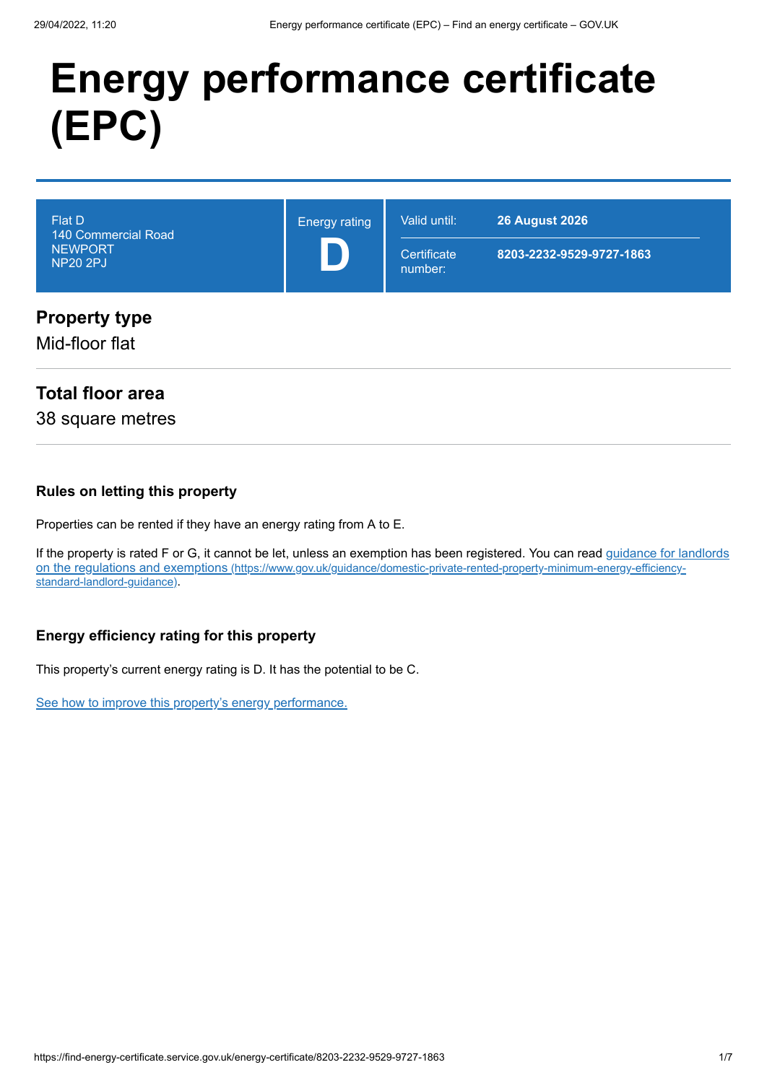# **Energy performance certificate (EPC)**

| <b>Flat D</b><br>140 Commercial Road<br><b>NEWPORT</b><br><b>NP20 2PJ</b> | <b>Energy rating</b> | Valid until:<br>Certificate<br>number: | <b>26 August 2026</b><br>8203-2232-9529-9727-1863 |
|---------------------------------------------------------------------------|----------------------|----------------------------------------|---------------------------------------------------|
| <b>Property type</b><br>Mid-floor flat                                    |                      |                                        |                                                   |

### **Total floor area**

38 square metres

#### **Rules on letting this property**

Properties can be rented if they have an energy rating from A to E.

[If the property is rated F or G, it cannot be let, unless an exemption has been registered. You can read guidance for landlords](https://www.gov.uk/guidance/domestic-private-rented-property-minimum-energy-efficiency-standard-landlord-guidance) on the regulations and exemptions (https://www.gov.uk/guidance/domestic-private-rented-property-minimum-energy-efficiencystandard-landlord-guidance).

#### **Energy efficiency rating for this property**

This property's current energy rating is D. It has the potential to be C.

[See how to improve this property's energy performance.](#page-3-0)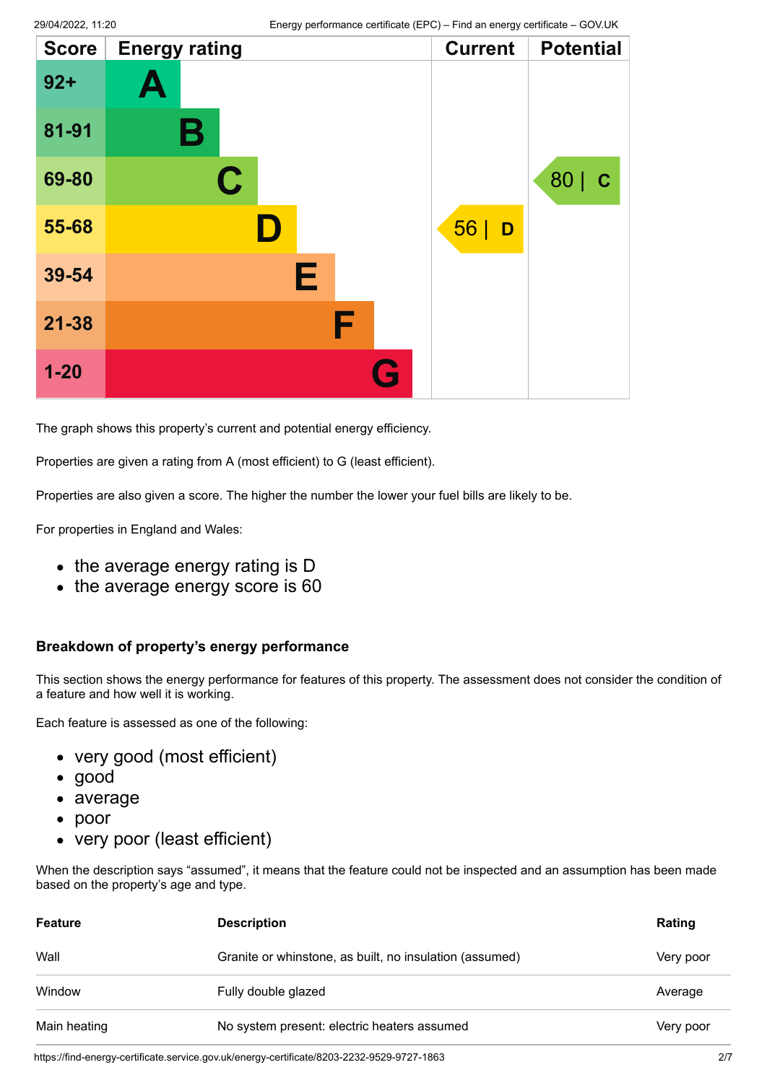| <b>Score</b> | <b>Energy rating</b> |           | <b>Current</b> | <b>Potential</b>    |
|--------------|----------------------|-----------|----------------|---------------------|
| $92+$        | A                    |           |                |                     |
| 81-91        | Β                    |           |                |                     |
| 69-80        | $\mathbf C$          |           |                | 80  <br>$\mathbf C$ |
| 55-68        | $\blacksquare$       |           | 56<br>D        |                     |
| 39-54        | E                    |           |                |                     |
| $21 - 38$    |                      | F         |                |                     |
| $1 - 20$     |                      | <b>Ay</b> |                |                     |

The graph shows this property's current and potential energy efficiency.

Properties are given a rating from A (most efficient) to G (least efficient).

Properties are also given a score. The higher the number the lower your fuel bills are likely to be.

For properties in England and Wales:

- the average energy rating is D
- the average energy score is 60

#### **Breakdown of property's energy performance**

This section shows the energy performance for features of this property. The assessment does not consider the condition of a feature and how well it is working.

Each feature is assessed as one of the following:

- very good (most efficient)
- good
- average
- poor
- very poor (least efficient)

When the description says "assumed", it means that the feature could not be inspected and an assumption has been made based on the property's age and type.

| <b>Feature</b> | <b>Description</b>                                      | Rating    |
|----------------|---------------------------------------------------------|-----------|
| Wall           | Granite or whinstone, as built, no insulation (assumed) | Very poor |
| Window         | Fully double glazed                                     | Average   |
| Main heating   | No system present: electric heaters assumed             | Very poor |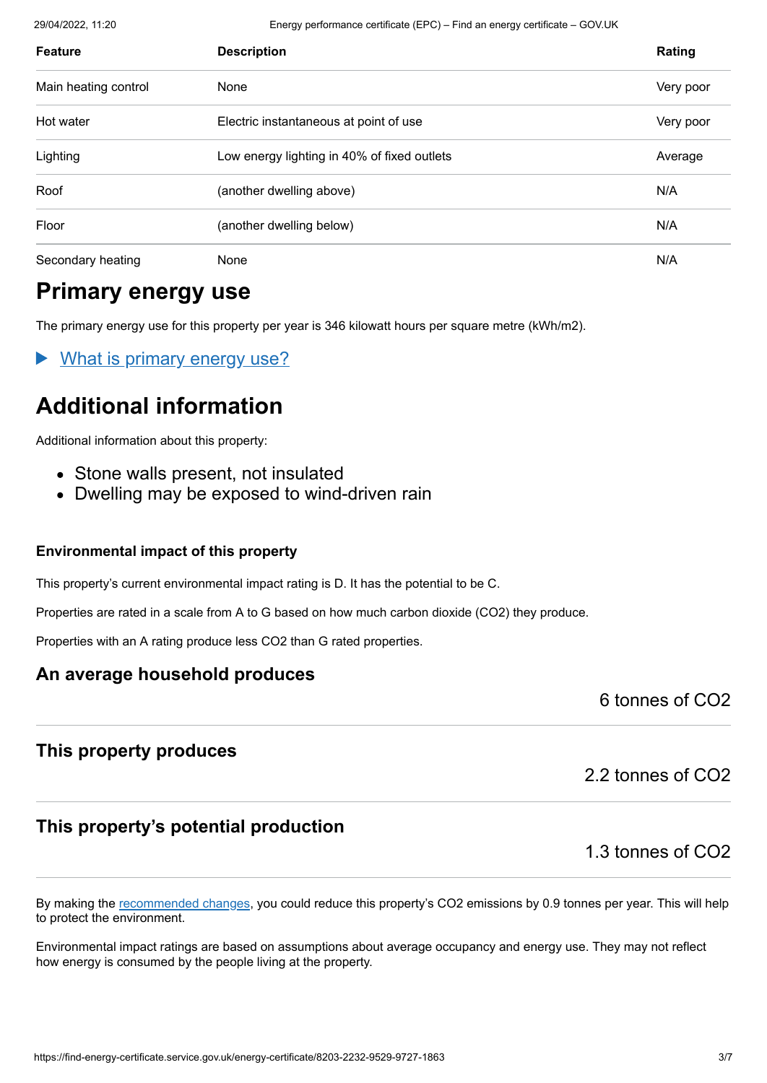29/04/2022, 11:20 Energy performance certificate (EPC) – Find an energy certificate – GOV.UK

| <b>Feature</b>       | <b>Description</b>                          | Rating    |
|----------------------|---------------------------------------------|-----------|
| Main heating control | None                                        | Very poor |
| Hot water            | Electric instantaneous at point of use      | Very poor |
| Lighting             | Low energy lighting in 40% of fixed outlets | Average   |
| Roof                 | (another dwelling above)                    | N/A       |
| Floor                | (another dwelling below)                    | N/A       |
| Secondary heating    | None                                        | N/A       |

### **Primary energy use**

The primary energy use for this property per year is 346 kilowatt hours per square metre (kWh/m2).

What is primary energy use?

### **Additional information**

Additional information about this property:

- Stone walls present, not insulated
- Dwelling may be exposed to wind-driven rain

#### **Environmental impact of this property**

This property's current environmental impact rating is D. It has the potential to be C.

Properties are rated in a scale from A to G based on how much carbon dioxide (CO2) they produce.

Properties with an A rating produce less CO2 than G rated properties.

#### **An average household produces**

6 tonnes of CO2

#### **This property produces**

2.2 tonnes of CO2

#### **This property's potential production**

1.3 tonnes of CO2

By making the [recommended changes](#page-3-0), you could reduce this property's CO2 emissions by 0.9 tonnes per year. This will help to protect the environment.

Environmental impact ratings are based on assumptions about average occupancy and energy use. They may not reflect how energy is consumed by the people living at the property.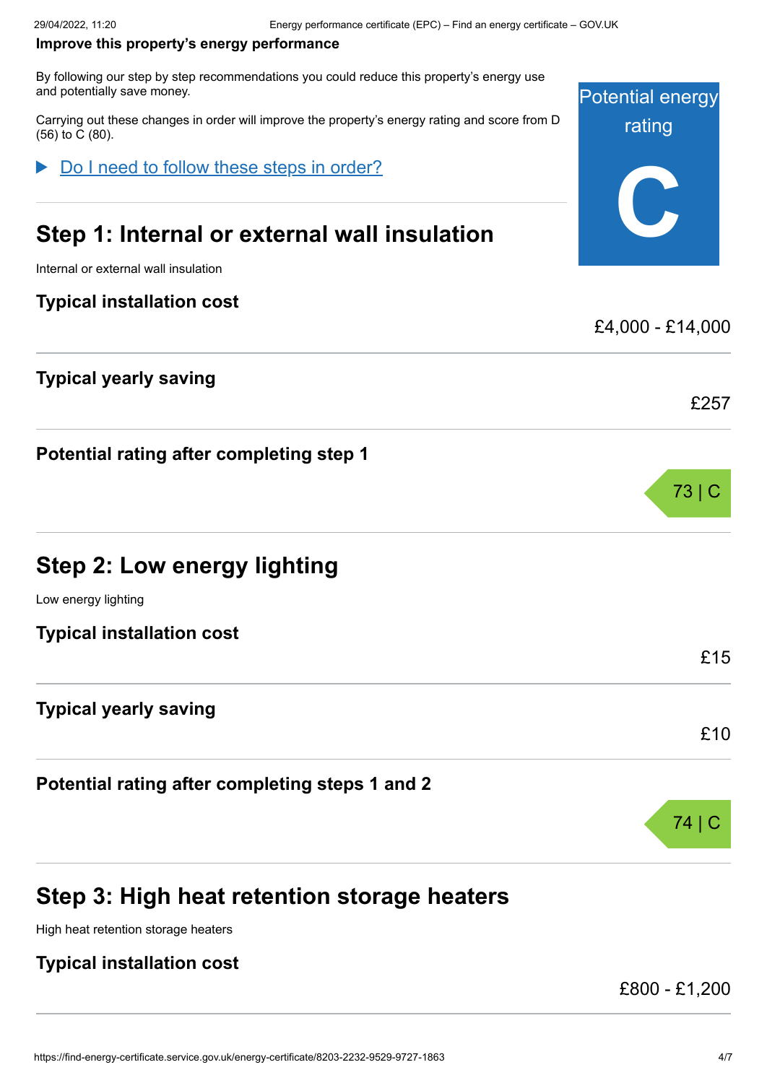#### <span id="page-3-0"></span>**Improve this property's energy performance**

By following our step by step recommendations you could reduce this property's energy use and potentially save money.

Carrying out these changes in order will improve the property's energy rating and score from D (56) to C (80).

Do I need to follow these steps in order?

### **Step 1: Internal or external wall insulation**

Internal or external wall insulation

#### **Typical installation cost**

#### **Typical yearly saving**

**Potential rating after completing step 1**

### **Step 2: Low energy lighting**

Low energy lighting

**Typical installation cost**

#### **Typical yearly saving**

**Potential rating after completing steps 1 and 2**

### **Step 3: High heat retention storage heaters**

High heat retention storage heaters

#### **Typical installation cost**

£800 - £1,200



£4,000 - £14,000

73 | C

£15

£10

£257

74 | C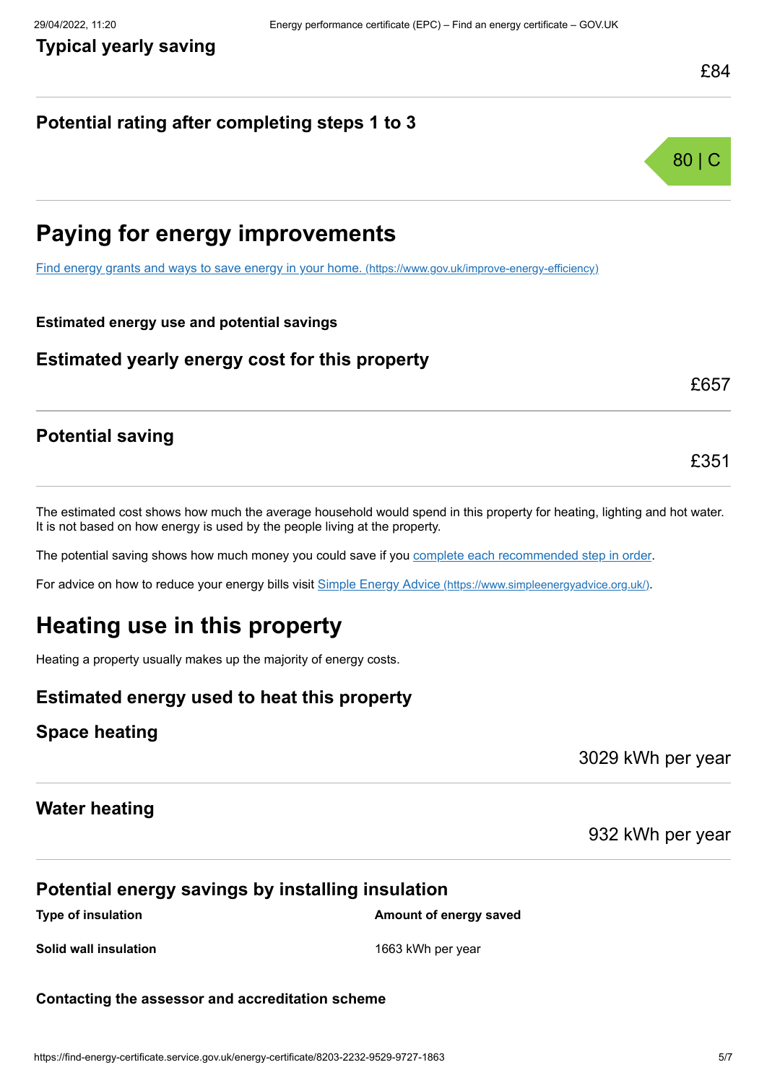### **Potential rating after completing steps 1 to 3**



£657

£351

### **Paying for energy improvements**

[Find energy grants and ways to save energy in your home.](https://www.gov.uk/improve-energy-efficiency) (https://www.gov.uk/improve-energy-efficiency)

#### **Estimated energy use and potential savings**

#### **Estimated yearly energy cost for this property**

#### The estimated cost shows how much the average household would spend in this property for heating, lighting and hot water. It is not based on how energy is used by the people living at the property.

The potential saving shows how much money you could save if you [complete each recommended step in order](#page-3-0).

For advice on how to reduce your energy bills visit Simple Energy Advice [\(https://www.simpleenergyadvice.org.uk/\)](https://www.simpleenergyadvice.org.uk/).

## **Heating use in this property**

Heating a property usually makes up the majority of energy costs.

#### **Estimated energy used to heat this property**

#### **Space heating**

**Potential saving**

3029 kWh per year

#### **Water heating**

#### 932 kWh per year

#### **Potential energy savings by installing insulation**

**Type of insulation Amount of energy saved Amount of energy saved** 

**Solid wall insulation** 1663 kWh per year

#### **Contacting the assessor and accreditation scheme**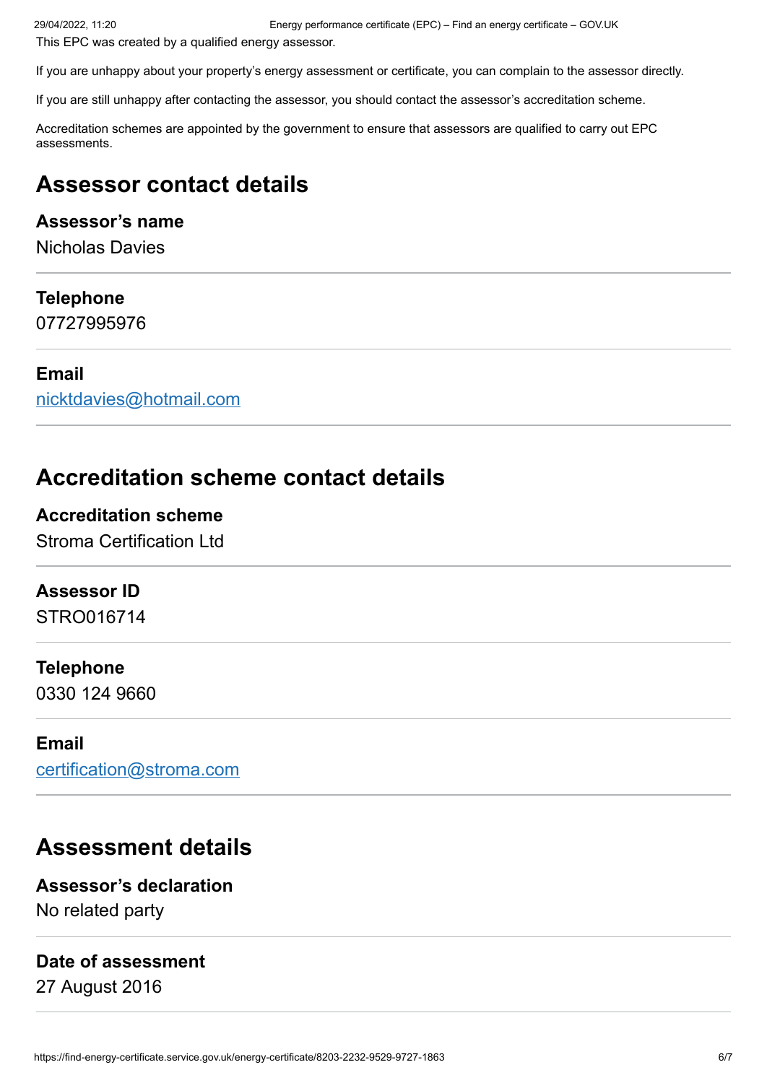This EPC was created by a qualified energy assessor.

If you are unhappy about your property's energy assessment or certificate, you can complain to the assessor directly.

If you are still unhappy after contacting the assessor, you should contact the assessor's accreditation scheme.

Accreditation schemes are appointed by the government to ensure that assessors are qualified to carry out EPC assessments.

### **Assessor contact details**

#### **Assessor's name**

Nicholas Davies

#### **Telephone**

07727995976

#### **Email**

[nicktdavies@hotmail.com](mailto:nicktdavies@hotmail.com)

### **Accreditation scheme contact details**

#### **Accreditation scheme**

Stroma Certification Ltd

#### **Assessor ID**

STRO016714

#### **Telephone**

0330 124 9660

#### **Email**

[certification@stroma.com](mailto:certification@stroma.com)

### **Assessment details**

**Assessor's declaration** No related party

#### **Date of assessment**

27 August 2016